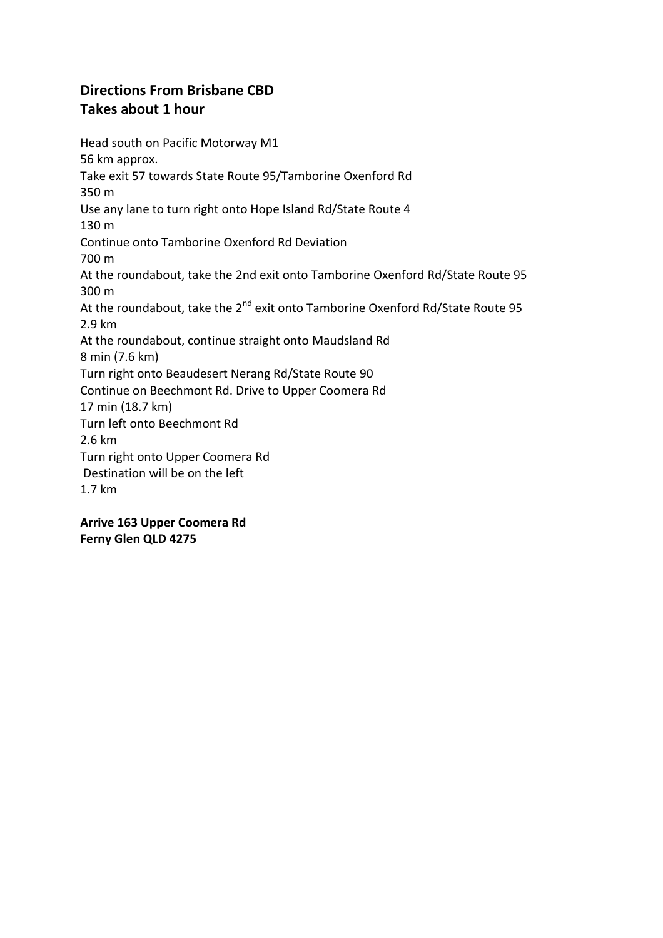## **Directions From Brisbane CBD Takes about 1 hour**

Head south on Pacific Motorway M1 56 km approx. Take exit 57 towards State Route 95/Tamborine Oxenford Rd 350 m Use any lane to turn right onto Hope Island Rd/State Route 4 130 m Continue onto Tamborine Oxenford Rd Deviation 700 m At the roundabout, take the 2nd exit onto Tamborine Oxenford Rd/State Route 95 300 m At the roundabout, take the 2<sup>nd</sup> exit onto Tamborine Oxenford Rd/State Route 95 2.9 km At the roundabout, continue straight onto Maudsland Rd 8 min (7.6 km) Turn right onto Beaudesert Nerang Rd/State Route 90 Continue on Beechmont Rd. Drive to Upper Coomera Rd 17 min (18.7 km) Turn left onto Beechmont Rd 2.6 km Turn right onto Upper Coomera Rd Destination will be on the left 1.7 km

**Arrive 163 Upper Coomera Rd Ferny Glen QLD 4275**